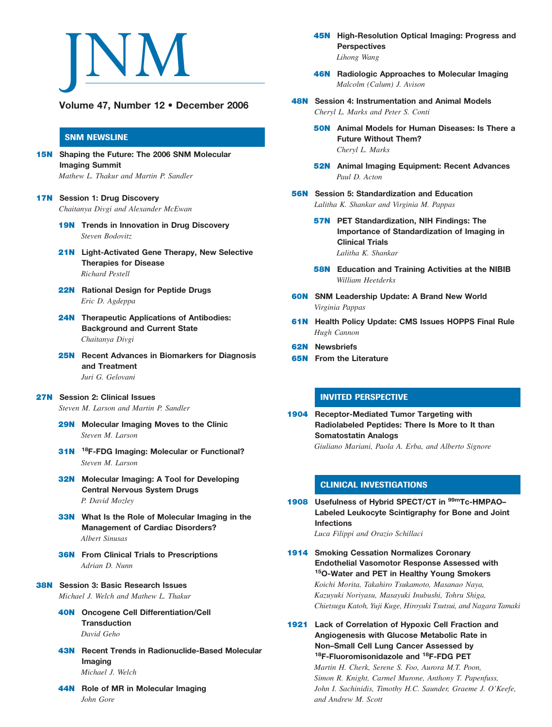

Volume 47, Number 12 • December 2006

### SNM NEWSLINE

- **15N** Shaping the Future: The 2006 SNM Molecular Imaging Summit Mathew L. Thakur and Martin P. Sandler
- **17N** Session 1: Drug Discovery Chaitanya Divgi and Alexander McEwan
	- 19N Trends in Innovation in Drug Discovery Steven Bodovitz
	- **21N** Light-Activated Gene Therapy, New Selective Therapies for Disease Richard Pestell
	- 22N Rational Design for Peptide Drugs Eric D. Agdeppa
	- **24N** Therapeutic Applications of Antibodies: Background and Current State Chaitanya Divgi
	- **25N** Recent Advances in Biomarkers for Diagnosis and Treatment Juri G. Gelovani
- 27N Session 2: Clinical Issues

Steven M. Larson and Martin P. Sandler

- **29N** Molecular Imaging Moves to the Clinic Steven M. Larson
- 31N <sup>18</sup>F-FDG Imaging: Molecular or Functional? Steven M. Larson
- **32N** Molecular Imaging: A Tool for Developing Central Nervous System Drugs P. David Mozley
- **33N** What Is the Role of Molecular Imaging in the Management of Cardiac Disorders? Albert Sinusas
- **36N** From Clinical Trials to Prescriptions Adrian D. Nunn
- 38N Session 3: Basic Research Issues Michael J. Welch and Mathew L. Thakur
	- 40N Oncogene Cell Differentiation/Cell **Transduction** David Geho
	- **43N** Recent Trends in Radionuclide-Based Molecular Imaging Michael J. Welch
	- 44N Role of MR in Molecular Imaging John Gore
- 45N High-Resolution Optical Imaging: Progress and **Perspectives** Lihong Wang
- **46N** Radiologic Approaches to Molecular Imaging Malcolm (Calum) J. Avison
- 48N Session 4: Instrumentation and Animal Models Cheryl L. Marks and Peter S. Conti
	- 50N Animal Models for Human Diseases: Is There a Future Without Them? Cheryl L. Marks
	- 52N Animal Imaging Equipment: Recent Advances Paul D. Acton
- 56N Session 5: Standardization and Education Lalitha K. Shankar and Virginia M. Pappas
	- 57N PET Standardization, NIH Findings: The Importance of Standardization of Imaging in Clinical Trials Lalitha K. Shankar
	- **58N** Education and Training Activities at the NIBIB William Heetderks
- 60N SNM Leadership Update: A Brand New World Virginia Pappas
- **61N** Health Policy Update: CMS Issues HOPPS Final Rule Hugh Cannon
- 62N Newsbriefs
- 65N From the Literature

## INVITED PERSPECTIVE

1904 Receptor-Mediated Tumor Targeting with Radiolabeled Peptides: There Is More to It than Somatostatin Analogs Giuliano Mariani, Paola A. Erba, and Alberto Signore

#### CLINICAL INVESTIGATIONS

1908 Usefulness of Hybrid SPECT/CT in <sup>99m</sup>Tc-HMPAO-Labeled Leukocyte Scintigraphy for Bone and Joint Infections Luca Filippi and Orazio Schillaci

1914 Smoking Cessation Normalizes Coronary Endothelial Vasomotor Response Assessed with 15O-Water and PET in Healthy Young Smokers

Koichi Morita, Takahiro Tsukamoto, Masanao Naya, Kazuyuki Noriyasu, Masayuki Inubushi, Tohru Shiga, Chietsugu Katoh, Yuji Kuge, Hiroyuki Tsutsui, and Nagara Tamaki

1921 Lack of Correlation of Hypoxic Cell Fraction and Angiogenesis with Glucose Metabolic Rate in Non–Small Cell Lung Cancer Assessed by 18F-Fluoromisonidazole and <sup>18</sup>F-FDG PET

Martin H. Cherk, Serene S. Foo, Aurora M.T. Poon, Simon R. Knight, Carmel Murone, Anthony T. Papenfuss, John I. Sachinidis, Timothy H.C. Saunder, Graeme J. O'Keefe, and Andrew M. Scott